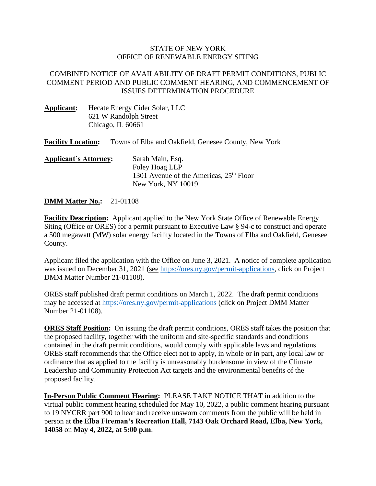## STATE OF NEW YORK OFFICE OF RENEWABLE ENERGY SITING

## COMBINED NOTICE OF AVAILABILITY OF DRAFT PERMIT CONDITIONS, PUBLIC COMMENT PERIOD AND PUBLIC COMMENT HEARING, AND COMMENCEMENT OF ISSUES DETERMINATION PROCEDURE

**Applicant:** Hecate Energy Cider Solar, LLC 621 W Randolph Street Chicago, IL 60661

**Facility Location:** Towns of Elba and Oakfield, Genesee County, New York

| <b>Applicant's Attorney:</b> | Sarah Main, Esq.                                    |
|------------------------------|-----------------------------------------------------|
|                              | Foley Hoag LLP                                      |
|                              | 1301 Avenue of the Americas, 25 <sup>th</sup> Floor |
|                              | New York, NY 10019                                  |

## **DMM Matter No.:** 21-01108

**Facility Description:** Applicant applied to the New York State Office of Renewable Energy Siting (Office or ORES) for a permit pursuant to Executive Law § 94-c to construct and operate a 500 megawatt (MW) solar energy facility located in the Towns of Elba and Oakfield, Genesee County.

Applicant filed the application with the Office on June 3, 2021. A notice of complete application was issued on December 31, 2021 (see [https://ores.ny.gov/permit-applications,](https://ores.ny.gov/permit-applications) click on Project DMM Matter Number 21-01108).

ORES staff published draft permit conditions on March 1, 2022. The draft permit conditions may be accessed at<https://ores.ny.gov/permit-applications> (click on Project DMM Matter Number 21-01108).

**ORES Staff Position:** On issuing the draft permit conditions, ORES staff takes the position that the proposed facility, together with the uniform and site-specific standards and conditions contained in the draft permit conditions, would comply with applicable laws and regulations. ORES staff recommends that the Office elect not to apply, in whole or in part, any local law or ordinance that as applied to the facility is unreasonably burdensome in view of the Climate Leadership and Community Protection Act targets and the environmental benefits of the proposed facility.

**In-Person Public Comment Hearing:** PLEASE TAKE NOTICE THAT in addition to the virtual public comment hearing scheduled for May 10, 2022, a public comment hearing pursuant to 19 NYCRR part 900 to hear and receive unsworn comments from the public will be held in person at **the Elba Fireman's Recreation Hall, 7143 Oak Orchard Road, Elba, New York, 14058** on **May 4, 2022, at 5:00 p.m**.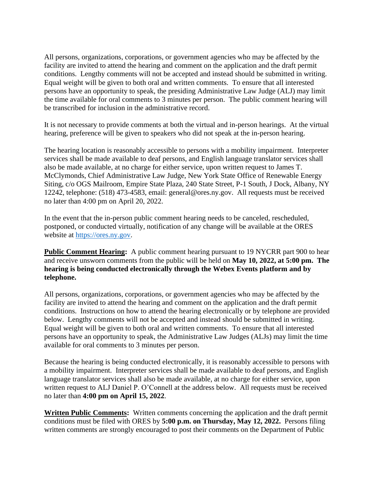All persons, organizations, corporations, or government agencies who may be affected by the facility are invited to attend the hearing and comment on the application and the draft permit conditions. Lengthy comments will not be accepted and instead should be submitted in writing. Equal weight will be given to both oral and written comments. To ensure that all interested persons have an opportunity to speak, the presiding Administrative Law Judge (ALJ) may limit the time available for oral comments to 3 minutes per person. The public comment hearing will be transcribed for inclusion in the administrative record.

It is not necessary to provide comments at both the virtual and in-person hearings. At the virtual hearing, preference will be given to speakers who did not speak at the in-person hearing.

The hearing location is reasonably accessible to persons with a mobility impairment. Interpreter services shall be made available to deaf persons, and English language translator services shall also be made available, at no charge for either service, upon written request to James T. McClymonds, Chief Administrative Law Judge, New York State Office of Renewable Energy Siting, c/o OGS Mailroom, Empire State Plaza, 240 State Street, P-1 South, J Dock, Albany, NY 12242, telephone: (518) 473-4583, email: general@ores.ny.gov. All requests must be received no later than 4:00 pm on April 20, 2022.

In the event that the in-person public comment hearing needs to be canceled, rescheduled, postponed, or conducted virtually, notification of any change will be available at the ORES website at [https://ores.ny.gov.](https://ores.ny.gov/)

**Public Comment Hearing:** A public comment hearing pursuant to 19 NYCRR part 900 to hear and receive unsworn comments from the public will be held on **May 10, 2022, at 5:00 pm. The hearing is being conducted electronically through the Webex Events platform and by telephone.** 

All persons, organizations, corporations, or government agencies who may be affected by the facility are invited to attend the hearing and comment on the application and the draft permit conditions. Instructions on how to attend the hearing electronically or by telephone are provided below. Lengthy comments will not be accepted and instead should be submitted in writing. Equal weight will be given to both oral and written comments. To ensure that all interested persons have an opportunity to speak, the Administrative Law Judges (ALJs) may limit the time available for oral comments to 3 minutes per person.

Because the hearing is being conducted electronically, it is reasonably accessible to persons with a mobility impairment. Interpreter services shall be made available to deaf persons, and English language translator services shall also be made available, at no charge for either service, upon written request to ALJ Daniel P. O'Connell at the address below. All requests must be received no later than **4:00 pm on April 15, 2022**.

**Written Public Comments:** Written comments concerning the application and the draft permit conditions must be filed with ORES by **5:00 p.m. on Thursday, May 12, 2022.** Persons filing written comments are strongly encouraged to post their comments on the Department of Public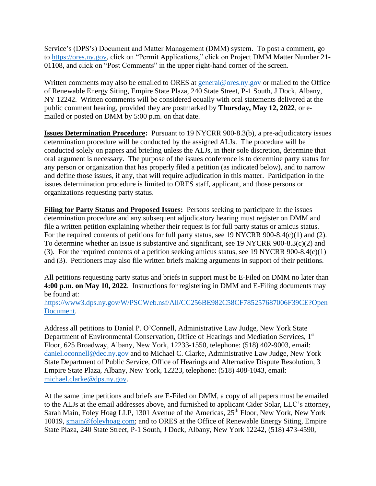Service's (DPS's) Document and Matter Management (DMM) system. To post a comment, go to [https://ores.ny.gov,](https://ores.ny.gov/) click on "Permit Applications," click on Project DMM Matter Number 21- 01108, and click on "Post Comments" in the upper right-hand corner of the screen.

Written comments may also be emailed to ORES at [general@ores.ny.gov](mailto:general@ores.ny.gov) or mailed to the Office of Renewable Energy Siting, Empire State Plaza, 240 State Street, P-1 South, J Dock, Albany, NY 12242. Written comments will be considered equally with oral statements delivered at the public comment hearing, provided they are postmarked by **Thursday, May 12, 2022**, or emailed or posted on DMM by 5:00 p.m. on that date.

**Issues Determination Procedure:** Pursuant to 19 NYCRR 900-8.3(b), a pre-adjudicatory issues determination procedure will be conducted by the assigned ALJs. The procedure will be conducted solely on papers and briefing unless the ALJs, in their sole discretion, determine that oral argument is necessary. The purpose of the issues conference is to determine party status for any person or organization that has properly filed a petition (as indicated below), and to narrow and define those issues, if any, that will require adjudication in this matter. Participation in the issues determination procedure is limited to ORES staff, applicant, and those persons or organizations requesting party status.

**Filing for Party Status and Proposed Issues:** Persons seeking to participate in the issues determination procedure and any subsequent adjudicatory hearing must register on DMM and file a written petition explaining whether their request is for full party status or amicus status. For the required contents of petitions for full party status, see 19 NYCRR 900-8.4(c)(1) and (2). To determine whether an issue is substantive and significant, see 19 NYCRR 900-8.3(c)(2) and (3). For the required contents of a petition seeking amicus status, see 19 NYCRR 900-8.4(c)(1) and (3). Petitioners may also file written briefs making arguments in support of their petitions.

All petitions requesting party status and briefs in support must be E-Filed on DMM no later than **4:00 p.m. on May 10, 2022**. Instructions for registering in DMM and E-Filing documents may be found at:

[https://www3.dps.ny.gov/W/PSCWeb.nsf/All/CC256BE982C58CF785257687006F39CE?Open](https://www3.dps.ny.gov/W/PSCWeb.nsf/All/CC256BE982C58CF785257687006F39CE?OpenDocument) [Document.](https://www3.dps.ny.gov/W/PSCWeb.nsf/All/CC256BE982C58CF785257687006F39CE?OpenDocument)

Address all petitions to Daniel P. O'Connell, Administrative Law Judge, New York State Department of Environmental Conservation, Office of Hearings and Mediation Services, 1<sup>st</sup> Floor, 625 Broadway, Albany, New York, 12233-1550, telephone: (518) 402-9003, email: [daniel.oconnell@dec.ny.gov](mailto:daniel.oconnell@dec.ny.gov) and to Michael C. Clarke, Administrative Law Judge, New York State Department of Public Service, Office of Hearings and Alternative Dispute Resolution, 3 Empire State Plaza, Albany, New York, 12223, telephone: (518) 408-1043, email: [michael.clarke@dps.ny.gov.](mailto:michael.clarke@dps.ny.gov)

At the same time petitions and briefs are E-Filed on DMM, a copy of all papers must be emailed to the ALJs at the email addresses above, and furnished to applicant Cider Solar, LLC's attorney, Sarah Main, Foley Hoag LLP, 1301 Avenue of the Americas,  $25<sup>th</sup>$  Floor, New York, New York 10019, [smain@foleyhoag.com;](mailto:smain@foleyhoag.com) and to ORES at the Office of Renewable Energy Siting, Empire State Plaza, 240 State Street, P-1 South, J Dock, Albany, New York 12242, (518) 473-4590,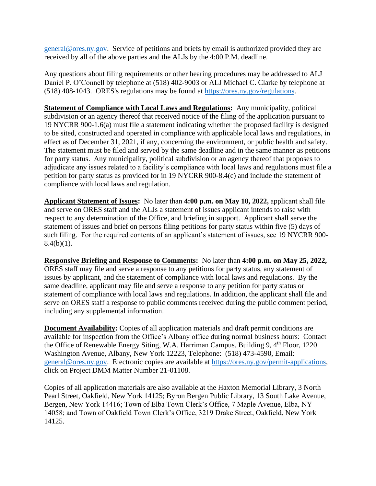[general@ores.ny.gov.](mailto:general@ores.ny.gov) Service of petitions and briefs by email is authorized provided they are received by all of the above parties and the ALJs by the 4:00 P.M. deadline.

Any questions about filing requirements or other hearing procedures may be addressed to ALJ Daniel P. O'Connell by telephone at (518) 402-9003 or ALJ Michael C. Clarke by telephone at (518) 408-1043. ORES's regulations may be found at<https://ores.ny.gov/>regulations.

**Statement of Compliance with Local Laws and Regulations:** Any municipality, political subdivision or an agency thereof that received notice of the filing of the application pursuant to 19 NYCRR 900-1.6(a) must file a statement indicating whether the proposed facility is designed to be sited, constructed and operated in compliance with applicable local laws and regulations, in effect as of December 31, 2021, if any, concerning the environment, or public health and safety. The statement must be filed and served by the same deadline and in the same manner as petitions for party status. Any municipality, political subdivision or an agency thereof that proposes to adjudicate any issues related to a facility's compliance with local laws and regulations must file a petition for party status as provided for in 19 NYCRR 900-8.4(c) and include the statement of compliance with local laws and regulation.

**Applicant Statement of Issues:** No later than **4:00 p.m. on May 10, 2022,** applicant shall file and serve on ORES staff and the ALJs a statement of issues applicant intends to raise with respect to any determination of the Office, and briefing in support. Applicant shall serve the statement of issues and brief on persons filing petitions for party status within five (5) days of such filing. For the required contents of an applicant's statement of issues, see 19 NYCRR 900-  $8.4(b)(1)$ .

**Responsive Briefing and Response to Comments:** No later than **4:00 p.m. on May 25, 2022,**  ORES staff may file and serve a response to any petitions for party status, any statement of issues by applicant, and the statement of compliance with local laws and regulations. By the same deadline, applicant may file and serve a response to any petition for party status or statement of compliance with local laws and regulations. In addition, the applicant shall file and serve on ORES staff a response to public comments received during the public comment period, including any supplemental information.

**Document Availability:** Copies of all application materials and draft permit conditions are available for inspection from the Office's Albany office during normal business hours: Contact the Office of Renewable Energy Siting, W.A. Harriman Campus. Building 9, 4<sup>th</sup> Floor, 1220 Washington Avenue, Albany, New York 12223, Telephone: (518) 473-4590, Email: [general@ores.ny.gov.](mailto:general@ores.ny.gov) Electronic copies are available at [https://ores.ny.gov/permit-applications,](https://ores.ny.gov/permit-applications) click on Project DMM Matter Number 21-01108.

Copies of all application materials are also available at the Haxton Memorial Library, 3 North Pearl Street, Oakfield, New York 14125; Byron Bergen Public Library, 13 South Lake Avenue, Bergen, New York 14416; Town of Elba Town Clerk's Office, 7 Maple Avenue, Elba, NY 14058; and Town of Oakfield Town Clerk's Office, 3219 Drake Street, Oakfield, New York 14125.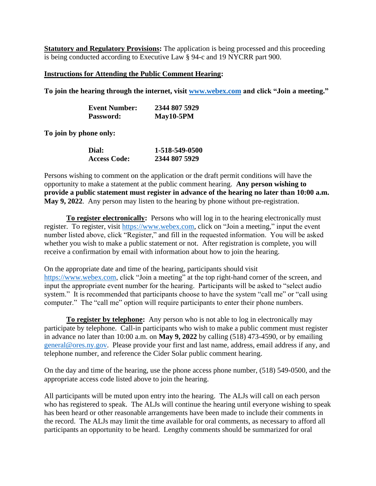**Statutory and Regulatory Provisions:** The application is being processed and this proceeding is being conducted according to Executive Law § 94-c and 19 NYCRR part 900.

## **Instructions for Attending the Public Comment Hearing:**

**To join the hearing through the internet, visit [www.webex.com](http://www.webex.com/) and click "Join a meeting."**

| <b>Event Number:</b> | 2344 807 5929 |
|----------------------|---------------|
| <b>Password:</b>     | $May10-5PM$   |

**To join by phone only:**

| Dial:               | 1-518-549-0500 |
|---------------------|----------------|
| <b>Access Code:</b> | 2344 807 5929  |

Persons wishing to comment on the application or the draft permit conditions will have the opportunity to make a statement at the public comment hearing. **Any person wishing to provide a public statement must register in advance of the hearing no later than 10:00 a.m. May 9, 2022**. Any person may listen to the hearing by phone without pre-registration.

**To register electronically:** Persons who will log in to the hearing electronically must register. To register, visit [https://www.webex.com,](https://www.webex.com/) click on "Join a meeting," input the event number listed above, click "Register," and fill in the requested information. You will be asked whether you wish to make a public statement or not. After registration is complete, you will receive a confirmation by email with information about how to join the hearing.

On the appropriate date and time of the hearing, participants should visit [https://www.webex.com,](https://www.webex.com/) click "Join a meeting" at the top right-hand corner of the screen, and input the appropriate event number for the hearing. Participants will be asked to "select audio system." It is recommended that participants choose to have the system "call me" or "call using computer." The "call me" option will require participants to enter their phone numbers.

**To register by telephone:** Any person who is not able to log in electronically may participate by telephone. Call-in participants who wish to make a public comment must register in advance no later than 10:00 a.m. on **May 9, 2022** by calling (518) 473-4590, or by emailing [general@ores.ny.gov.](mailto:general@ores.ny.gov) Please provide your first and last name, address, email address if any, and telephone number, and reference the Cider Solar public comment hearing.

On the day and time of the hearing, use the phone access phone number, (518) 549-0500, and the appropriate access code listed above to join the hearing.

All participants will be muted upon entry into the hearing. The ALJs will call on each person who has registered to speak. The ALJs will continue the hearing until everyone wishing to speak has been heard or other reasonable arrangements have been made to include their comments in the record. The ALJs may limit the time available for oral comments, as necessary to afford all participants an opportunity to be heard. Lengthy comments should be summarized for oral